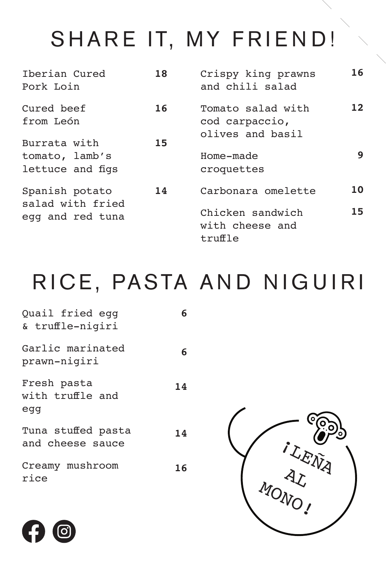## SHARE IT, MY FRIEND!

| Therian Cured<br>Pork Loin                             | 18 | Crispy king prawns<br>and chili salad                                | 16       |
|--------------------------------------------------------|----|----------------------------------------------------------------------|----------|
| Cured beef<br>from León                                | 16 | Tomato salad with<br>cod carpaccio,<br>olives and basil              | 12       |
| Burrata with<br>tomato, lamb's<br>lettuce and figs     | 15 | Home-made<br>croquettes                                              | 9        |
| Spanish potato<br>salad with fried<br>egg and red tuna | 14 | Carbonara omelette<br>Chicken sandwich<br>with cheese and<br>truffle | 10<br>15 |

## RICE, PASTA AND NIGUIRI

| Quail fried egg<br>& truffle-nigiri    | 6  |  |
|----------------------------------------|----|--|
| Garlic marinated<br>prawn-nigiri       | 6  |  |
| Fresh pasta<br>with truffle and<br>egg | 14 |  |
| Tuna stuffed pasta<br>and cheese sauce | 14 |  |
| Creamy mushroom<br>rice                | 16 |  |